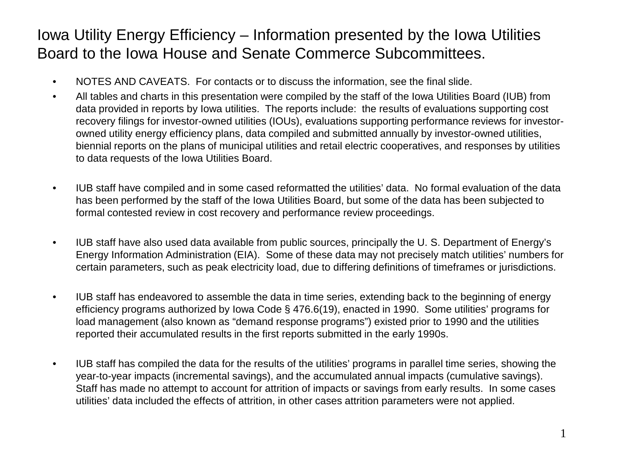### Iowa Utility Energy Efficiency – Information presented by the Iowa Utilities Board to the Iowa House and Senate Commerce Subcommittees.

- NOTES AND CAVEATS. For contacts or to discuss the information, see the final slide.
- All tables and charts in this presentation were compiled by the staff of the Iowa Utilities Board (IUB) from data provided in reports by Iowa utilities. The reports include: the results of evaluations supporting cost recovery filings for investor-owned utilities (IOUs), evaluations supporting performance reviews for investorowned utility energy efficiency plans, data compiled and submitted annually by investor-owned utilities, biennial reports on the plans of municipal utilities and retail electric cooperatives, and responses by utilities to data requests of the Iowa Utilities Board.
- IUB staff have compiled and in some cased reformatted the utilities' data. No formal evaluation of the data has been performed by the staff of the Iowa Utilities Board, but some of the data has been subjected to formal contested review in cost recovery and performance review proceedings.
- IUB staff have also used data available from public sources, principally the U. S. Department of Energy's Energy Information Administration (EIA). Some of these data may not precisely match utilities' numbers for certain parameters, such as peak electricity load, due to differing definitions of timeframes or jurisdictions.
- IUB staff has endeavored to assemble the data in time series, extending back to the beginning of energy efficiency programs authorized by Iowa Code § 476.6(19), enacted in 1990. Some utilities' programs for load management (also known as "demand response programs") existed prior to 1990 and the utilities reported their accumulated results in the first reports submitted in the early 1990s.
- IUB staff has compiled the data for the results of the utilities' programs in parallel time series, showing the year-to-year impacts (incremental savings), and the accumulated annual impacts (cumulative savings). Staff has made no attempt to account for attrition of impacts or savings from early results. In some cases utilities' data included the effects of attrition, in other cases attrition parameters were not applied.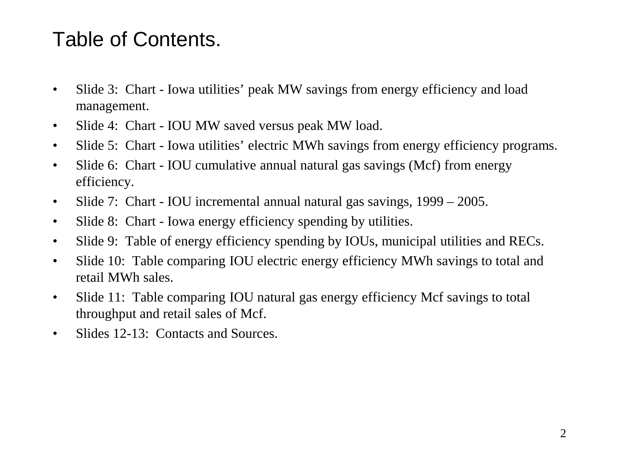# Table of Contents.

- Slide 3: Chart Iowa utilities' peak MW savings from energy efficiency and load management.
- Slide 4: Chart IOU MW saved versus peak MW load.
- Slide 5: Chart Iowa utilities' electric MWh savings from energy efficiency programs.
- Slide 6: Chart IOU cumulative annual natural gas savings (Mcf) from energy efficiency.
- Slide 7: Chart IOU incremental annual natural gas savings, 1999 2005.
- Slide 8: Chart Iowa energy efficiency spending by utilities.
- Slide 9: Table of energy efficiency spending by IOUs, municipal utilities and RECs.
- Slide 10: Table comparing IOU electric energy efficiency MWh savings to total and retail MWh sales.
- Slide 11: Table comparing IOU natural gas energy efficiency Mcf savings to total throughput and retail sales of Mcf.
- Slides 12-13: Contacts and Sources.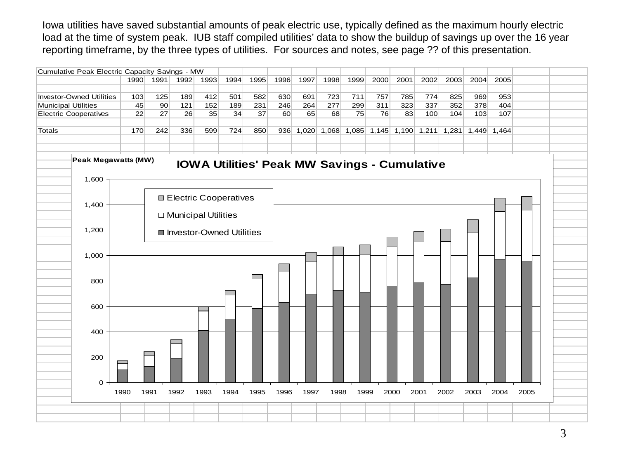Iowa utilities have saved substantial amounts of peak electric use, typically defined as the maximum hourly electric load at the time of system peak. IUB staff compiled utilities' data to show the buildup of savings up over the 16 year reporting timeframe, by the three types of utilities. For sources and notes, see page ?? of this presentation.

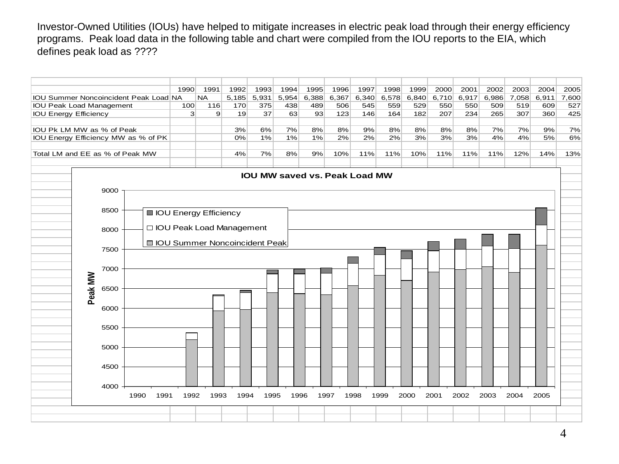Investor-Owned Utilities (IOUs) have helped to mitigate increases in electric peak load through their energy efficiency programs. Peak load data in the following table and chart were compiled from the IOU reports to the EIA, which defines peak load as ????

|                                                                                                                   |                                       | 1990           | 1991                    | 1992  | 1993  | 1994  | 1995                          | 1996  | 1997  | 1998  | 1999 | 2000                    | 2001  | 2002  | 2003 | 2004        | 2005  |
|-------------------------------------------------------------------------------------------------------------------|---------------------------------------|----------------|-------------------------|-------|-------|-------|-------------------------------|-------|-------|-------|------|-------------------------|-------|-------|------|-------------|-------|
|                                                                                                                   | IOU Summer Noncoincident Peak Load NA |                | <b>NA</b>               | 5,185 | 5,931 | 5,954 | 6,388                         | 6,367 | 6,340 | 6,578 |      | $6,840 \mid 6,710 \mid$ | 6,917 | 6,986 |      | 7,058 6,911 | 7,600 |
| <b>IOU Peak Load Management</b>                                                                                   |                                       | 100            | 116                     | 170   | 375   | 438   | 489                           | 506   | 545   | 559   | 529  | 550                     | 550   | 509   | 519  | 609         | 527   |
| <b>IOU Energy Efficiency</b>                                                                                      |                                       | $\overline{3}$ | 9                       | 19    | 37    | 63    | 93                            | 123   | 146   | 164   | 182  | 207                     | 234   | 265   | 307  | 360         | 425   |
|                                                                                                                   |                                       |                |                         |       |       |       |                               |       |       |       |      |                         |       |       |      |             |       |
| IOU Pk LM MW as % of Peak<br>3%<br>6%                                                                             |                                       |                |                         | 7%    | 8%    | 8%    | 9%                            | 8%    | 8%    | 8%    | 8%   | 7%                      | 7%    | 9%    | 7%   |             |       |
| 2%<br>3%<br>3%<br>4%<br>5%<br>IOU Energy Efficiency MW as % of PK<br>0%<br>1%<br>1%<br>1%<br>2%<br>2%<br>3%<br>4% |                                       |                |                         |       |       |       | 6%                            |       |       |       |      |                         |       |       |      |             |       |
| Total LM and EE as % of Peak MW<br>7%<br>9%<br>10%<br>11%<br>11%<br>10%<br>11%<br>11%<br>12%<br>4%<br>8%<br>11%   |                                       |                |                         |       |       | 14%   | 13%                           |       |       |       |      |                         |       |       |      |             |       |
|                                                                                                                   |                                       |                |                         |       |       |       |                               |       |       |       |      |                         |       |       |      |             |       |
|                                                                                                                   |                                       |                |                         |       |       |       |                               |       |       |       |      |                         |       |       |      |             |       |
|                                                                                                                   |                                       |                |                         |       |       |       | IOU MW saved vs. Peak Load MW |       |       |       |      |                         |       |       |      |             |       |
|                                                                                                                   |                                       |                |                         |       |       |       |                               |       |       |       |      |                         |       |       |      |             |       |
|                                                                                                                   | 9000                                  |                |                         |       |       |       |                               |       |       |       |      |                         |       |       |      |             |       |
|                                                                                                                   |                                       |                |                         |       |       |       |                               |       |       |       |      |                         |       |       |      |             |       |
|                                                                                                                   | 8500                                  |                | ■ IOU Energy Efficiency |       |       |       |                               |       |       |       |      |                         |       |       |      |             |       |
|                                                                                                                   |                                       |                |                         |       |       |       |                               |       |       |       |      |                         |       |       |      |             |       |
|                                                                                                                   | □ IOU Peak Load Management<br>8000    |                |                         |       |       |       |                               |       |       |       |      |                         |       |       |      |             |       |
|                                                                                                                   |                                       |                |                         |       |       |       |                               |       |       |       |      |                         |       |       |      |             |       |
|                                                                                                                   | □ IOU Summer Noncoincident Peak       |                |                         |       |       |       |                               |       |       |       |      |                         |       |       |      |             |       |
|                                                                                                                   | 7500                                  |                |                         |       |       |       |                               |       |       |       |      |                         |       |       |      |             |       |
|                                                                                                                   |                                       |                |                         |       |       |       |                               |       |       |       |      |                         |       |       |      |             |       |
|                                                                                                                   | 7000                                  |                |                         |       |       |       |                               |       |       |       |      |                         |       |       |      |             |       |
|                                                                                                                   |                                       |                |                         |       |       |       |                               |       |       |       |      |                         |       |       |      |             |       |
|                                                                                                                   | 6500                                  |                |                         |       |       |       |                               |       |       |       |      |                         |       |       |      |             |       |
| Peak MW                                                                                                           |                                       |                |                         |       |       |       |                               |       |       |       |      |                         |       |       |      |             |       |
|                                                                                                                   |                                       |                |                         |       |       |       |                               |       |       |       |      |                         |       |       |      |             |       |
|                                                                                                                   | 6000                                  |                |                         |       |       |       |                               |       |       |       |      |                         |       |       |      |             |       |
|                                                                                                                   |                                       |                |                         |       |       |       |                               |       |       |       |      |                         |       |       |      |             |       |
|                                                                                                                   | 5500                                  |                |                         |       |       |       |                               |       |       |       |      |                         |       |       |      |             |       |
|                                                                                                                   |                                       |                |                         |       |       |       |                               |       |       |       |      |                         |       |       |      |             |       |
|                                                                                                                   | 5000                                  |                |                         |       |       |       |                               |       |       |       |      |                         |       |       |      |             |       |
|                                                                                                                   |                                       |                |                         |       |       |       |                               |       |       |       |      |                         |       |       |      |             |       |
|                                                                                                                   |                                       |                |                         |       |       |       |                               |       |       |       |      |                         |       |       |      |             |       |
|                                                                                                                   | 4500                                  |                |                         |       |       |       |                               |       |       |       |      |                         |       |       |      |             |       |
|                                                                                                                   |                                       |                |                         |       |       |       |                               |       |       |       |      |                         |       |       |      |             |       |
|                                                                                                                   | 4000                                  |                |                         |       |       |       |                               |       |       |       |      |                         |       |       |      |             |       |
|                                                                                                                   | 1990<br>1991                          | 1992           | 1993                    | 1994  | 1995  |       | 1996                          | 1997  | 1998  | 1999  | 2000 | 2001                    | 2002  | 2003  | 2004 | 2005        |       |
|                                                                                                                   |                                       |                |                         |       |       |       |                               |       |       |       |      |                         |       |       |      |             |       |
|                                                                                                                   |                                       |                |                         |       |       |       |                               |       |       |       |      |                         |       |       |      |             |       |
|                                                                                                                   |                                       |                |                         |       |       |       |                               |       |       |       |      |                         |       |       |      |             |       |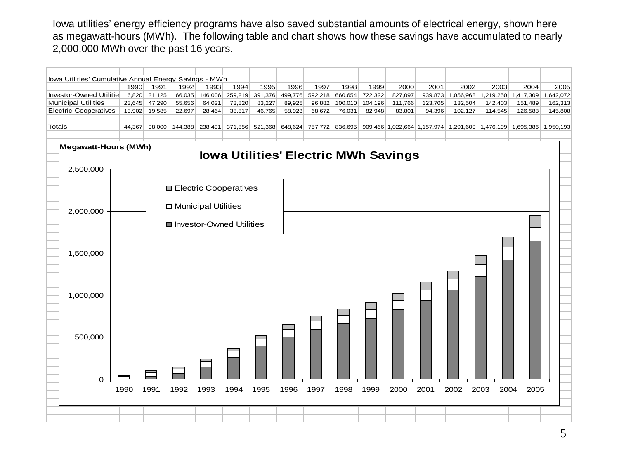Iowa utilities' energy efficiency programs have also saved substantial amounts of electrical energy, shown here as megawatt-hours (MWh). The following table and chart shows how these savings have accumulated to nearly 2,000,000 MWh over the past 16 years.

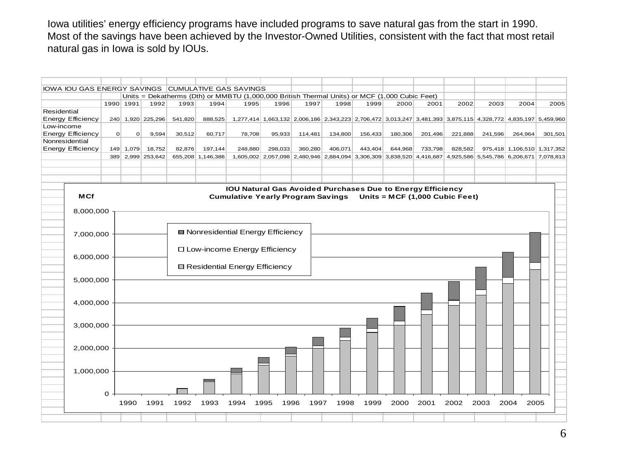Iowa utilities' energy efficiency programs have included programs to save natural gas from the start in 1990. Most of the savings have been achieved by the Investor-Owned Utilities, consistent with the fact that most retail natural gas in Iowa is sold by IOUs.

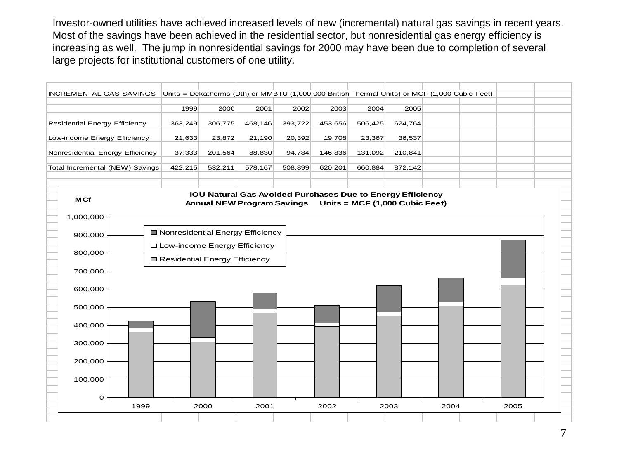Investor-owned utilities have achieved increased levels of new (incremental) natural gas savings in recent years. Most of the savings have been achieved in the residential sector, but nonresidential gas energy efficiency is increasing as well. The jump in nonresidential savings for 2000 may have been due to completion of several large projects for institutional customers of one utility.

![](_page_6_Figure_1.jpeg)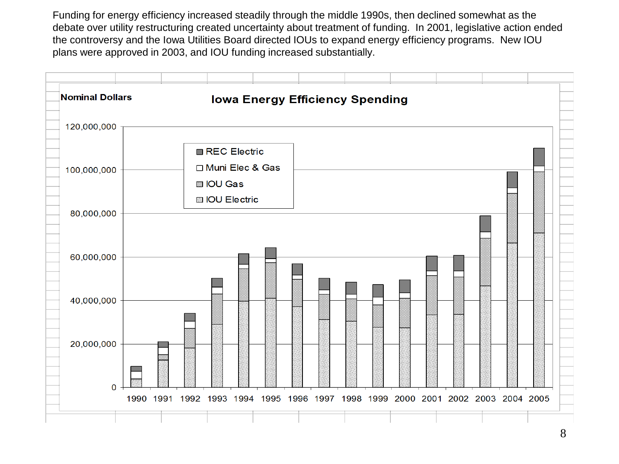Funding for energy efficiency increased steadily through the middle 1990s, then declined somewhat as the debate over utility restructuring created uncertainty about treatment of funding. In 2001, legislative action ended the controversy and the Iowa Utilities Board directed IOUs to expand energy efficiency programs. New IOU plans were approved in 2003, and IOU funding increased substantially.

![](_page_7_Figure_1.jpeg)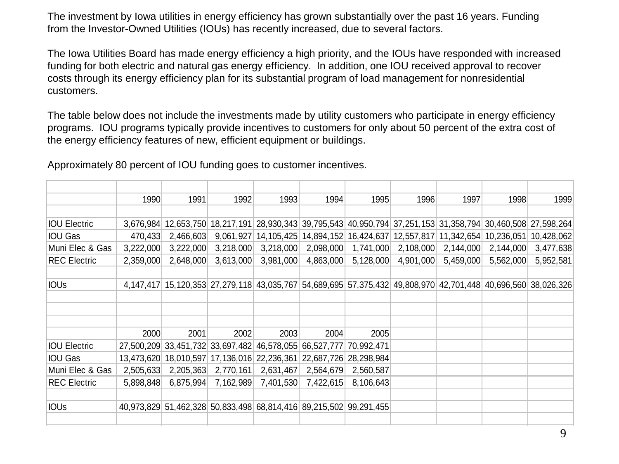The investment by Iowa utilities in energy efficiency has grown substantially over the past 16 years. Funding from the Investor-Owned Utilities (IOUs) has recently increased, due to several factors.

The Iowa Utilities Board has made energy efficiency a high priority, and the IOUs have responded with increased funding for both electric and natural gas energy efficiency. In addition, one IOU received approval to recover costs through its energy efficiency plan for its substantial program of load management for nonresidential customers.

The table below does not include the investments made by utility customers who participate in energy efficiency programs. IOU programs typically provide incentives to customers for only about 50 percent of the extra cost of the energy efficiency features of new, efficient equipment or buildings.

|                        | 1990      | 1991       | 1992      | 1993                                                                                                         | 1994      | 1995                | 1996                                                              | 1997                    | 1998      | 1999      |
|------------------------|-----------|------------|-----------|--------------------------------------------------------------------------------------------------------------|-----------|---------------------|-------------------------------------------------------------------|-------------------------|-----------|-----------|
|                        |           |            |           |                                                                                                              |           |                     |                                                                   |                         |           |           |
| <b>IOU Electric</b>    | 3,676,984 | 12,653,750 |           | 18,217,191 28,930,343 39,795,543 40,950,794 37,251,153 31,358,794 30,460,508 27,598,264                      |           |                     |                                                                   |                         |           |           |
| <b>IOU Gas</b>         | 470,433   | 2,466,603  |           | $9,061,927$ 14,105,425                                                                                       |           |                     | 14,894,152 16,424,637 12,557,817 11,342,654 10,236,051 10,428,062 |                         |           |           |
| Muni Elec & Gas        | 3,222,000 | 3,222,000  | 3,218,000 | 3,218,000                                                                                                    |           | 2,098,000 1,741,000 |                                                                   | $2,108,000$ $2,144,000$ | 2,144,000 | 3,477,638 |
| <b>REC Electric</b>    | 2,359,000 | 2,648,000  | 3,613,000 | 3,981,000                                                                                                    | 4,863,000 | 5,128,000           | 4,901,000                                                         | 5,459,000               | 5,562,000 | 5,952,581 |
|                        |           |            |           |                                                                                                              |           |                     |                                                                   |                         |           |           |
| <b>IOUS</b>            |           |            |           | 4,147,417 15,120,353 27,279,118 43,035,767 54,689,695 57,375,432 49,808,970 42,701,448 40,696,560 38,026,326 |           |                     |                                                                   |                         |           |           |
|                        |           |            |           |                                                                                                              |           |                     |                                                                   |                         |           |           |
|                        |           |            |           |                                                                                                              |           |                     |                                                                   |                         |           |           |
|                        |           |            |           |                                                                                                              |           |                     |                                                                   |                         |           |           |
|                        | 2000      | 2001       | 2002      | 2003                                                                                                         | 2004      | 2005                |                                                                   |                         |           |           |
| <b>IOU Electric</b>    |           |            |           | 27,500,209 33,451,732 33,697,482 46,578,055 66,527,777 70,992,471                                            |           |                     |                                                                   |                         |           |           |
| <b>IOU Gas</b>         |           |            |           | 13,473,620 18,010,597 17,136,016 22,236,361 22,687,726 28,298,984                                            |           |                     |                                                                   |                         |           |           |
| Muni Elec & Gas        | 2,505,633 | 2,205,363  | 2,770,161 | 2,631,467                                                                                                    | 2,564,679 | 2,560,587           |                                                                   |                         |           |           |
| <b>REC Electric</b>    | 5,898,848 | 6,875,994  | 7,162,989 | 7,401,530                                                                                                    | 7,422,615 | 8,106,643           |                                                                   |                         |           |           |
|                        |           |            |           |                                                                                                              |           |                     |                                                                   |                         |           |           |
| <b>IOU<sub>s</sub></b> |           |            |           | 40,973,829 51,462,328 50,833,498 68,814,416 89,215,502 99,291,455                                            |           |                     |                                                                   |                         |           |           |
|                        |           |            |           |                                                                                                              |           |                     |                                                                   |                         |           |           |

Approximately 80 percent of IOU funding goes to customer incentives.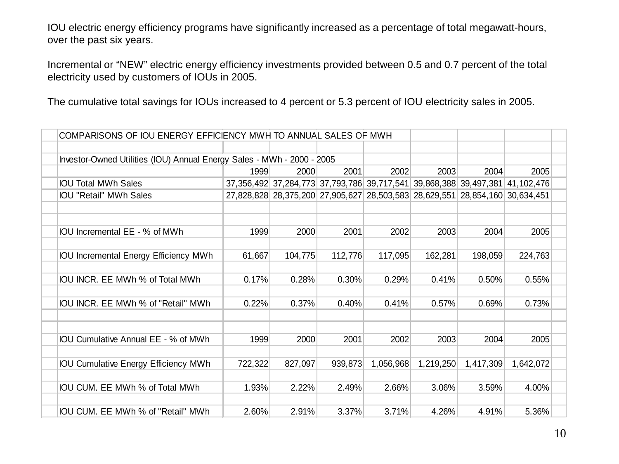IOU electric energy efficiency programs have significantly increased as a percentage of total megawatt-hours, over the past six years.

Incremental or "NEW" electric energy efficiency investments provided between 0.5 and 0.7 percent of the total electricity used by customers of IOUs in 2005.

The cumulative total savings for IOUs increased to 4 percent or 5.3 percent of IOU electricity sales in 2005.

| COMPARISONS OF IOU ENERGY EFFICIENCY MWH TO ANNUAL SALES OF MWH        |         |                                                                              |         |           |           |           |           |  |
|------------------------------------------------------------------------|---------|------------------------------------------------------------------------------|---------|-----------|-----------|-----------|-----------|--|
|                                                                        |         |                                                                              |         |           |           |           |           |  |
| Investor-Owned Utilities (IOU) Annual Energy Sales - MWh - 2000 - 2005 |         |                                                                              |         |           |           |           |           |  |
|                                                                        | 1999    | 2000                                                                         | 2001    | 2002      | 2003      | 2004      | 2005      |  |
| <b>IOU Total MWh Sales</b>                                             |         | 37,356,492 37,284,773 37,793,786 39,717,541 39,868,388 39,497,381 41,102,476 |         |           |           |           |           |  |
| <b>IOU "Retail" MWh Sales</b>                                          |         | 27,828,828 28,375,200 27,905,627 28,503,583 28,629,551 28,854,160 30,634,451 |         |           |           |           |           |  |
|                                                                        |         |                                                                              |         |           |           |           |           |  |
|                                                                        |         |                                                                              |         |           |           |           |           |  |
| IOU Incremental EE - % of MWh                                          | 1999    | 2000                                                                         | 2001    | 2002      | 2003      | 2004      | 2005      |  |
|                                                                        |         |                                                                              |         |           |           |           |           |  |
| <b>IOU Incremental Energy Efficiency MWh</b>                           | 61,667  | 104,775                                                                      | 112,776 | 117,095   | 162,281   | 198,059   | 224,763   |  |
|                                                                        |         |                                                                              |         |           |           |           |           |  |
| IOU INCR. EE MWh % of Total MWh                                        | 0.17%   | 0.28%                                                                        | 0.30%   | 0.29%     | 0.41%     | 0.50%     | 0.55%     |  |
|                                                                        |         |                                                                              |         |           |           |           |           |  |
| IOU INCR. EE MWh % of "Retail" MWh                                     | 0.22%   | 0.37%                                                                        | 0.40%   | 0.41%     | 0.57%     | 0.69%     | 0.73%     |  |
|                                                                        |         |                                                                              |         |           |           |           |           |  |
|                                                                        |         |                                                                              |         |           |           |           |           |  |
| IOU Cumulative Annual EE - % of MWh                                    | 1999    | 2000                                                                         | 2001    | 2002      | 2003      | 2004      | 2005      |  |
|                                                                        |         |                                                                              |         |           |           |           |           |  |
| <b>IOU Cumulative Energy Efficiency MWh</b>                            | 722,322 | 827,097                                                                      | 939,873 | 1,056,968 | 1,219,250 | 1,417,309 | 1,642,072 |  |
|                                                                        |         |                                                                              |         |           |           |           |           |  |
| IOU CUM. EE MWh % of Total MWh                                         | 1.93%   | 2.22%                                                                        | 2.49%   | 2.66%     | 3.06%     | 3.59%     | 4.00%     |  |
|                                                                        |         |                                                                              |         |           |           |           |           |  |
| IOU CUM. EE MWh % of "Retail" MWh                                      | 2.60%   | 2.91%                                                                        | 3.37%   | 3.71%     | 4.26%     | 4.91%     | 5.36%     |  |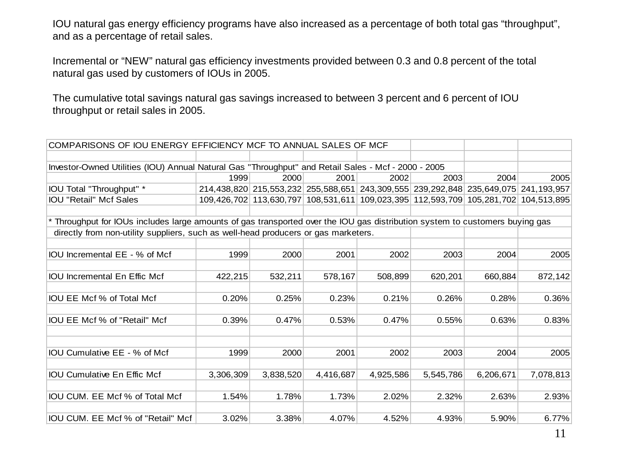IOU natural gas energy efficiency programs have also increased as a percentage of both total gas "throughput", and as a percentage of retail sales.

Incremental or "NEW" natural gas efficiency investments provided between 0.3 and 0.8 percent of the total natural gas used by customers of IOUs in 2005.

The cumulative total savings natural gas savings increased to between 3 percent and 6 percent of IOU throughput or retail sales in 2005.

| COMPARISONS OF IOU ENERGY EFFICIENCY MCF TO ANNUAL SALES OF MCF                                                              |           |           |           |                                                                                     |           |           |           |  |  |  |
|------------------------------------------------------------------------------------------------------------------------------|-----------|-----------|-----------|-------------------------------------------------------------------------------------|-----------|-----------|-----------|--|--|--|
|                                                                                                                              |           |           |           |                                                                                     |           |           |           |  |  |  |
| Investor-Owned Utilities (IOU) Annual Natural Gas "Throughput" and Retail Sales - Mcf - 2000 - 2005                          |           |           |           |                                                                                     |           |           |           |  |  |  |
|                                                                                                                              | 1999      | 2000      | 2001      | 2002                                                                                | 2003      | 2004      | 2005      |  |  |  |
| IOU Total "Throughput" *                                                                                                     |           |           |           | 214,438,820 215,553,232 255,588,651 243,309,555 239,292,848 235,649,075 241,193,957 |           |           |           |  |  |  |
| <b>IOU "Retail" Mcf Sales</b>                                                                                                |           |           |           | 109,426,702 113,630,797 108,531,611 109,023,395 112,593,709 105,281,702 104,513,895 |           |           |           |  |  |  |
|                                                                                                                              |           |           |           |                                                                                     |           |           |           |  |  |  |
| * Throughput for IOUs includes large amounts of gas transported over the IOU gas distribution system to customers buying gas |           |           |           |                                                                                     |           |           |           |  |  |  |
| directly from non-utility suppliers, such as well-head producers or gas marketers.                                           |           |           |           |                                                                                     |           |           |           |  |  |  |
|                                                                                                                              |           |           |           |                                                                                     |           |           |           |  |  |  |
| IOU Incremental EE - % of Mcf                                                                                                | 1999      | 2000      | 2001      | 2002                                                                                | 2003      | 2004      | 2005      |  |  |  |
|                                                                                                                              |           |           |           |                                                                                     |           |           |           |  |  |  |
| <b>IOU</b> Incremental En Effic Mcf                                                                                          | 422,215   | 532,211   | 578,167   | 508,899                                                                             | 620,201   | 660,884   | 872,142   |  |  |  |
|                                                                                                                              |           |           |           |                                                                                     |           |           |           |  |  |  |
| IOU EE Mcf % of Total Mcf                                                                                                    | 0.20%     | 0.25%     | 0.23%     | 0.21%                                                                               | 0.26%     | 0.28%     | 0.36%     |  |  |  |
|                                                                                                                              |           |           |           |                                                                                     |           |           |           |  |  |  |
| IOU EE Mcf % of "Retail" Mcf                                                                                                 | 0.39%     | 0.47%     | 0.53%     | 0.47%                                                                               | 0.55%     | 0.63%     | 0.83%     |  |  |  |
|                                                                                                                              |           |           |           |                                                                                     |           |           |           |  |  |  |
|                                                                                                                              |           |           |           |                                                                                     |           |           |           |  |  |  |
| IOU Cumulative EE - % of Mcf                                                                                                 | 1999      | 2000      | 2001      | 2002                                                                                | 2003      | 2004      | 2005      |  |  |  |
|                                                                                                                              |           |           |           |                                                                                     |           |           |           |  |  |  |
| <b>IOU Cumulative En Effic Mcf</b>                                                                                           | 3,306,309 | 3,838,520 | 4,416,687 | 4,925,586                                                                           | 5,545,786 | 6,206,671 | 7,078,813 |  |  |  |
|                                                                                                                              |           |           |           |                                                                                     |           |           |           |  |  |  |
| IOU CUM. EE Mcf % of Total Mcf                                                                                               | 1.54%     | 1.78%     | 1.73%     | 2.02%                                                                               | 2.32%     | 2.63%     | 2.93%     |  |  |  |
|                                                                                                                              |           |           |           |                                                                                     |           |           |           |  |  |  |
| IOU CUM. EE Mcf % of "Retail" Mcf                                                                                            | 3.02%     | 3.38%     | 4.07%     | 4.52%                                                                               | 4.93%     | 5.90%     | 6.77%     |  |  |  |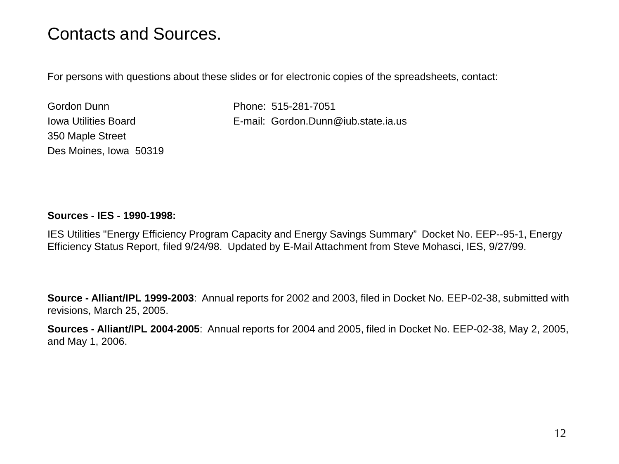# Contacts and Sources.

For persons with questions about these slides or for electronic copies of the spreadsheets, contact:

Gordon Dunn Phone: 515-281-7051 350 Maple Street Des Moines, Iowa 50319

Iowa Utilities Board E-mail: Gordon.Dunn@iub.state.ia.us

#### **Sources - IES - 1990-1998:**

IES Utilities "Energy Efficiency Program Capacity and Energy Savings Summary" Docket No. EEP--95-1, Energy Efficiency Status Report, filed 9/24/98. Updated by E-Mail Attachment from Steve Mohasci, IES, 9/27/99.

**Source - Alliant/IPL 1999-2003**: Annual reports for 2002 and 2003, filed in Docket No. EEP-02-38, submitted with revisions, March 25, 2005.

**Sources - Alliant/IPL 2004-2005**: Annual reports for 2004 and 2005, filed in Docket No. EEP-02-38, May 2, 2005, and May 1, 2006.